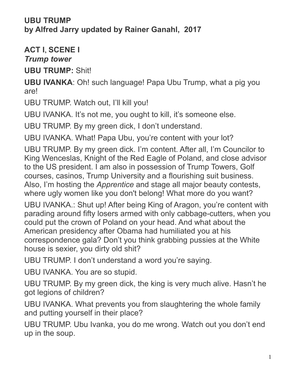## **UBU TRUMP by Alfred Jarry updated by Rainer Ganahl, 2017**

**ACT I**, **SCENE I**

*Trump tower*

**UBU TRUMP: Shit!** 

**UBU IVANKA**: Oh! such language! Papa Ubu Trump, what a pig you are!

UBU TRUMP. Watch out, I'll kill you!

UBU IVANKA. It's not me, you ought to kill, it's someone else.

UBU TRUMP. By my green dick, I don't understand.

UBU IVANKA. What! Papa Ubu, you're content with your lot?

UBU TRUMP. By my green dick. I'm content. After all, I'm Councilor to King Wenceslas, Knight of the Red Eagle of Poland, and close advisor to the US president. I am also in possession of Trump Towers, Golf courses, casinos, Trump University and a flourishing suit business. Also, I'm hosting the *Apprentice* and stage all major beauty contests, where ugly women like you don't belong! What more do you want?

UBU IVANKA.: Shut up! After being King of Aragon, you're content with parading around fifty losers armed with only cabbage-cutters, when you could put the crown of Poland on your head. And what about the American presidency after Obama had humiliated you at his correspondence gala? Don't you think grabbing pussies at the White house is sexier, you dirty old shit?

UBU TRUMP. I don't understand a word you're saying.

UBU IVANKA. You are so stupid.

UBU TRUMP. By my green dick, the king is very much alive. Hasn't he got legions of children?

UBU IVANKA. What prevents you from slaughtering the whole family and putting yourself in their place?

UBU TRUMP. Ubu Ivanka, you do me wrong. Watch out you don't end up in the soup.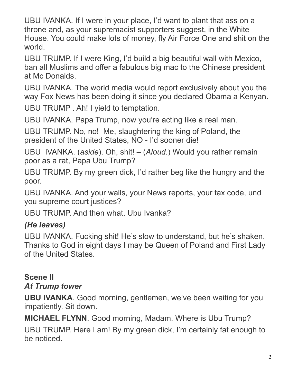UBU IVANKA. If I were in your place, I'd want to plant that ass on a throne and, as your supremacist supporters suggest, in the White House. You could make lots of money, fly Air Force One and shit on the world.

UBU TRUMP. If I were King, I'd build a big beautiful wall with Mexico, ban all Muslims and offer a fabulous big mac to the Chinese president at Mc Donalds.

UBU IVANKA. The world media would report exclusively about you the way Fox News has been doing it since you declared Obama a Kenyan.

UBU TRUMP . Ah! I yield to temptation.

UBU IVANKA. Papa Trump, now you're acting like a real man.

UBU TRUMP. No, no! Me, slaughtering the king of Poland, the president of the United States, NO - I'd sooner die!

UBU IVANKA. (*aside*). Oh, shit! – (*Aloud.*) Would you rather remain poor as a rat, Papa Ubu Trump?

UBU TRUMP. By my green dick, I'd rather beg like the hungry and the poor.

UBU IVANKA. And your walls, your News reports, your tax code, und you supreme court justices?

UBU TRUMP. And then what, Ubu Ivanka?

## *(He leaves)*

UBU IVANKA. Fucking shit! He's slow to understand, but he's shaken. Thanks to God in eight days I may be Queen of Poland and First Lady of the United States.

## **Scene II** *At Trump tower*

**UBU IVANKA**. Good morning, gentlemen, we've been waiting for you impatiently. Sit down.

**MICHAEL FLYNN**. Good morning, Madam. Where is Ubu Trump?

UBU TRUMP. Here I am! By my green dick, I'm certainly fat enough to be noticed.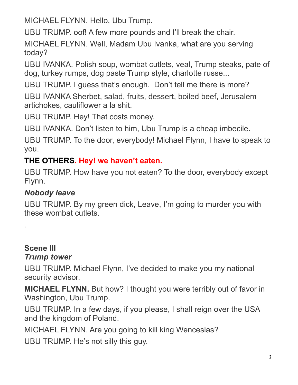MICHAEL FLYNN. Hello, Ubu Trump.

UBU TRUMP. oof! A few more pounds and I'll break the chair.

MICHAEL FLYNN. Well, Madam Ubu Ivanka, what are you serving today?

UBU IVANKA. Polish soup, wombat cutlets, veal, Trump steaks, pate of dog, turkey rumps, dog paste Trump style, charlotte russe...

UBU TRUMP. I guess that's enough. Don't tell me there is more?

UBU IVANKA Sherbet, salad, fruits, dessert, boiled beef, Jerusalem artichokes, cauliflower a la shit.

UBU TRUMP. Hey! That costs money.

UBU IVANKA. Don't listen to him, Ubu Trump is a cheap imbecile.

UBU TRUMP. To the door, everybody! Michael Flynn, I have to speak to you.

## **THE OTHERS. Hey! we haven't eaten.**

UBU TRUMP. How have you not eaten? To the door, everybody except Flynn.

### *Nobody leave*

UBU TRUMP. By my green dick, Leave, I'm going to murder you with these wombat cutlets.

#### **Scene III** *Trump tower*

*.*

UBU TRUMP. Michael Flynn, I've decided to make you my national

security advisor.

**MICHAEL FLYNN.** But how? I thought you were terribly out of favor in Washington, Ubu Trump.

UBU TRUMP. In a few days, if you please, I shall reign over the USA and the kingdom of Poland.

MICHAEL FLYNN. Are you going to kill king Wenceslas?

UBU TRUMP. He's not silly this guy.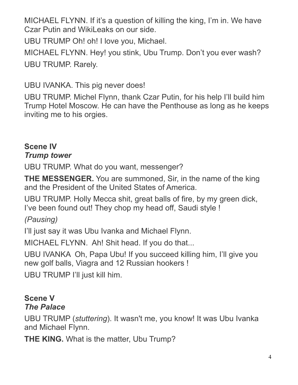MICHAEL FLYNN. If it's a question of killing the king, I'm in. We have Czar Putin and WikiLeaks on our side.

UBU TRUMP Oh! oh! I love you, Michael.

MICHAEL FLYNN. Hey! you stink, Ubu Trump. Don't you ever wash? UBU TRUMP. Rarely.

UBU IVANKA. This pig never does!

UBU TRUMP. Michel Flynn, thank Czar Putin, for his help I'll build him Trump Hotel Moscow. He can have the Penthouse as long as he keeps inviting me to his orgies.

#### **Scene IV** *Trump tower*

UBU TRUMP. What do you want, messenger?

**THE MESSENGER.** You are summoned, Sir, in the name of the king and the President of the United States of America.

UBU TRUMP. Holly Mecca shit, great balls of fire, by my green dick, I've been found out! They chop my head off, Saudi style !

*(Pausing)*

I'll just say it was Ubu Ivanka and Michael Flynn.

MICHAEL FLYNN. Ah! Shit head. If you do that...

UBU IVANKA Oh, Papa Ubu! If you succeed killing him, I'll give you new golf balls, Viagra and 12 Russian hookers !

UBU TRUMP I'll just kill him.

#### **Scene V** *The Palace*

UBU TRUMP (*stuttering*). It wasn't me, you know! It was Ubu Ivanka and Michael Flynn.

**THE KING.** What is the matter, Ubu Trump?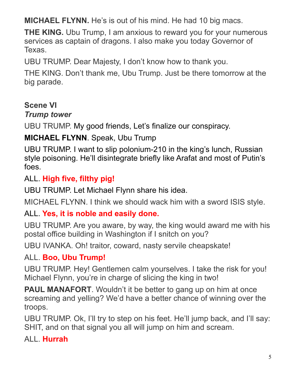**MICHAEL FLYNN.** He's is out of his mind. He had 10 big macs.

**THE KING.** Ubu Trump, I am anxious to reward you for your numerous services as captain of dragons. I also make you today Governor of Texas.

UBU TRUMP. Dear Majesty, I don't know how to thank you.

THE KING. Don't thank me, Ubu Trump. Just be there tomorrow at the big parade.

#### **Scene VI**

#### *Trump tower*

UBU TRUMP. My good friends, Let's finalize our conspiracy.

**MICHAEL FLYNN**. Speak, Ubu Trump

UBU TRUMP. I want to slip polonium-210 in the king's lunch, Russian style poisoning. He'll disintegrate briefly like Arafat and most of Putin's foes.

#### ALL. **High five, filthy pig!**

UBU TRUMP. Let Michael Flynn share his idea.

MICHAEL FLYNN. I think we should wack him with a sword ISIS style.

### ALL. **Yes, it is noble and easily done.**

UBU TRUMP. Are you aware, by way, the king would award me with his postal office building in Washington if I snitch on you?

UBU IVANKA. Oh! traitor, coward, nasty servile cheapskate!

#### ALL. **Boo, Ubu Trump!**

UBU TRUMP. Hey! Gentlemen calm yourselves. I take the risk for you! Michael Flynn, you're in charge of slicing the king in two!

**PAUL MANAFORT.** Wouldn't it be better to gang up on him at once screaming and yelling? We'd have a better chance of winning over the troops.

UBU TRUMP. Ok, I'll try to step on his feet. He'll jump back, and I'll say: SHIT, and on that signal you all will jump on him and scream.

#### ALL. **Hurrah**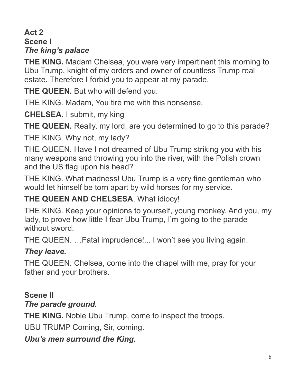## **Act 2 Scene I** *The king's palace*

**THE KING.** Madam Chelsea, you were very impertinent this morning to Ubu Trump, knight of my orders and owner of countless Trump real estate. Therefore I forbid you to appear at my parade.

**THE QUEEN.** But who will defend you.

THE KING. Madam, You tire me with this nonsense.

**CHELSEA.** I submit, my king

**THE QUEEN.** Really, my lord, are you determined to go to this parade?

THE KING. Why not, my lady?

THE QUEEN. Have I not dreamed of Ubu Trump striking you with his many weapons and throwing you into the river, with the Polish crown and the US flag upon his head?

THE KING. What madness! Ubu Trump is a very fine gentleman who would let himself be torn apart by wild horses for my service.

## **THE QUEEN AND CHELSESA**. What idiocy!

THE KING. Keep your opinions to yourself, young monkey. And you, my lady, to prove how little I fear Ubu Trump, I'm going to the parade without sword.

THE QUEEN. …Fatal imprudence!... I won't see you living again.

## *They leave.*

THE QUEEN. Chelsea, come into the chapel with me, pray for your father and your brothers.

# **Scene II**

### *The parade ground.*

**THE KING.** Noble Ubu Trump, come to inspect the troops.

UBU TRUMP Coming, Sir, coming.

*Ubu's men surround the King.*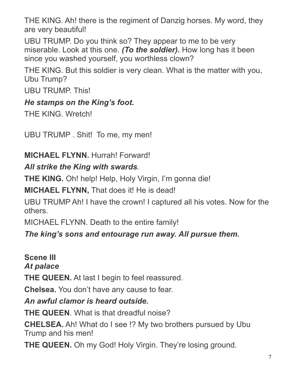THE KING. Ah! there is the regiment of Danzig horses. My word, they are very beautiful!

UBU TRUMP. Do you think so? They appear to me to be very miserable. Look at this one. *(To the soldier)***.** How long has it been since you washed yourself, you worthless clown?

THE KING. But this soldier is very clean. What is the matter with you, Ubu Trump?

UBU TRUMP. This!

## *He stamps on the King's foot.*

THE KING. Wretch!

UBU TRUMP . Shit! To me, my men!

### **MICHAEL FLYNN.** Hurrah! Forward!

## *All strike the King with swards.*

**THE KING.** Oh! help! Help, Holy Virgin, I'm gonna die!

**MICHAEL FLYNN,** That does it! He is dead!

UBU TRUMP Ah! I have the crown! I captured all his votes. Now for the others.

MICHAEL FLYNN. Death to the entire family!

*The king's sons and entourage run away. All pursue them.*

**Scene III** *At palace* **THE QUEEN.** At last I begin to feel reassured. **Chelsea.** You don't have any cause to fear. *An awful clamor is heard outside.* **THE QUEEN**. What is that dreadful noise? **CHELSEA.** Ah! What do I see !? My two brothers pursued by Ubu Trump and his men! **THE QUEEN.** Oh my God! Holy Virgin. They're losing ground.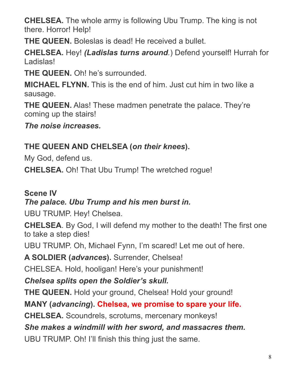**CHELSEA.** The whole army is following Ubu Trump. The king is not there. Horror! Help!

**THE QUEEN.** Boleslas is dead! He received a bullet.

**CHELSEA.** Hey! *(Ladislas turns around.*) Defend yourself! Hurrah for Ladislas!

**THE QUEEN.** Oh! he's surrounded.

**MICHAEL FLYNN.** This is the end of him. Just cut him in two like a sausage.

**THE QUEEN.** Alas! These madmen penetrate the palace. They're coming up the stairs!

*The noise increases.*

## **THE QUEEN AND CHELSEA (***on their knees***).**

My God, defend us.

**CHELSEA.** Oh! That Ubu Trump! The wretched rogue!

#### **Scene IV**

## *The palace. Ubu Trump and his men burst in.*

UBU TRUMP. Hey! Chelsea.

**CHELSEA**. By God, I will defend my mother to the death! The first one to take a step dies!

UBU TRUMP. Oh, Michael Fynn, I'm scared! Let me out of here.

**A SOLDIER (***advances***).** Surrender, Chelsea!

CHELSEA. Hold, hooligan! Here's your punishment!

*Chelsea splits open the Soldier's skull.*

**THE QUEEN.** Hold your ground, Chelsea! Hold your ground!

**MANY (***advancing***). Chelsea, we promise to spare your life.**

**CHELSEA.** Scoundrels, scrotums, mercenary monkeys!

### *She makes a windmill with her sword, and massacres them.*

UBU TRUMP. Oh! I'll finish this thing just the same.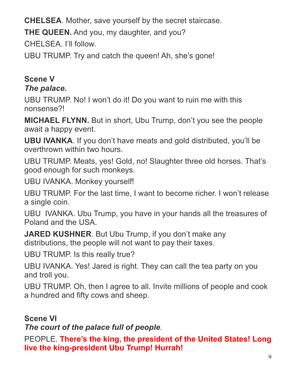**CHELSEA**. Mother, save yourself by the secret staircase.

**THE QUEEN.** And you, my daughter, and you?

CHELSEA. I'll follow.

UBU TRUMP. Try and catch the queen! Ah, she's gone!

## **Scene V**

### *The palace.*

UBU TRUMP. No! I won't do it! Do you want to ruin me with this nonsense?!

**MICHAEL FLYNN.** But in short, Ubu Trump, don't you see the people await a happy event.

**UBU IVANKA**. If you don't have meats and gold distributed, you'll be overthrown within two hours.

UBU TRUMP. Meats, yes! Gold, no! Slaughter three old horses. That's good enough for such monkeys.

UBU IVANKA. Monkey yourself!

UBU TRUMP. For the last time, I want to become richer. I won't release a single coin.

UBU IVANKA. Ubu Trump, you have in your hands all the treasures of Poland and the USA.

**JARED KUSHNER**. But Ubu Trump, if you don't make any distributions, the people will not want to pay their taxes.

UBU TRUMP. Is this really true?

UBU IVANKA. Yes! Jared is right. They can call the tea party on you and troll you.

UBU TRUMP. Oh, then I agree to all. Invite millions of people and cook a hundred and fifty cows and sheep.

**Scene VI**

*The court of the palace full of people.*

PEOPLE. **There's the king, the president of the United States! Long live the king-president Ubu Trump! Hurrah!**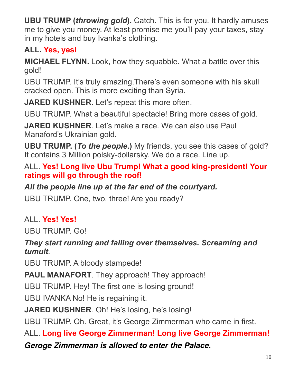**UBU TRUMP (***throwing gold***).** Catch. This is for you. It hardly amuses me to give you money. At least promise me you'll pay your taxes, stay in my hotels and buy Ivanka's clothing.

# **ALL. Yes, yes!**

**MICHAEL FLYNN.** Look, how they squabble. What a battle over this gold!

UBU TRUMP. It's truly amazing.There's even someone with his skull cracked open. This is more exciting than Syria.

**JARED KUSHNER.** Let's repeat this more often.

UBU TRUMP. What a beautiful spectacle! Bring more cases of gold.

**JARED KUSHNER**. Let's make a race. We can also use Paul Manaford's Ukrainian gold.

**UBU TRUMP. (***To the people***.)** My friends, you see this cases of gold? It contains 3 Million polsky-dollarsky. We do a race. Line up.

### ALL. **Yes! Long live Ubu Trump! What a good king-president! Your ratings will go through the roof!**

# *All the people line up at the far end of the courtyard.*

UBU TRUMP. One, two, three! Are you ready?

# ALL. **Yes! Yes!**

UBU TRUMP. Go!

## *They start running and falling over themselves. Screaming and tumult.*

UBU TRUMP. A bloody stampede!

**PAUL MANAFORT**. They approach! They approach!

UBU TRUMP. Hey! The first one is losing ground!

UBU IVANKA No! He is regaining it.

**JARED KUSHNER**. Oh! He's losing, he's losing!

UBU TRUMP. Oh. Great, it's George Zimmerman who came in first.

ALL. **Long live George Zimmerman! Long live George Zimmerman!** 

### *Geroge Zimmerman is allowed to enter the Palace.*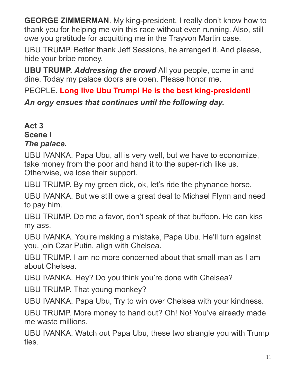**GEORGE ZIMMERMAN**. My king-president, I really don't know how to thank you for helping me win this race without even running. Also, still owe you gratitude for acquitting me in the Trayvon Martin case.

UBU TRUMP. Better thank Jeff Sessions, he arranged it. And please, hide your bribe money.

**UBU TRUMP.** *Addressing the crowd* All you people, come in and dine. Today my palace doors are open. Please honor me.

PEOPLE. **Long live Ubu Trump! He is the best king-president!**

*An orgy ensues that continues until the following day.* 

#### **Act 3 Scene I** *The palace.*

UBU IVANKA. Papa Ubu, all is very well, but we have to economize, take money from the poor and hand it to the super-rich like us. Otherwise, we lose their support.

UBU TRUMP. By my green dick, ok, let's ride the phynance horse.

UBU IVANKA. But we still owe a great deal to Michael Flynn and need to pay him.

UBU TRUMP. Do me a favor, don't speak of that buffoon. He can kiss my ass.

UBU IVANKA. You're making a mistake, Papa Ubu. He'll turn against you, join Czar Putin, align with Chelsea.

UBU TRUMP. I am no more concerned about that small man as I am about Chelsea.

UBU IVANKA. Hey? Do you think you're done with Chelsea?

UBU TRUMP. That young monkey?

UBU IVANKA. Papa Ubu, Try to win over Chelsea with your kindness.

UBU TRUMP. More money to hand out? Oh! No! You've already made me waste millions.

UBU IVANKA. Watch out Papa Ubu, these two strangle you with Trump ties.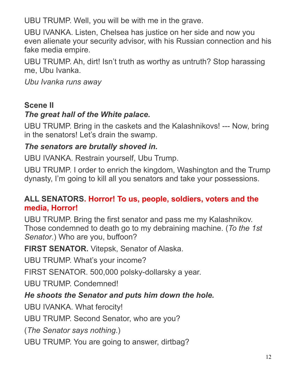UBU TRUMP. Well, you will be with me in the grave.

UBU IVANKA. Listen, Chelsea has justice on her side and now you even alienate your security advisor, with his Russian connection and his fake media empire.

UBU TRUMP. Ah, dirt! Isn't truth as worthy as untruth? Stop harassing me, Ubu Ivanka.

*Ubu Ivanka runs away*

#### **Scene II**

### *The great hall of the White palace.*

UBU TRUMP. Bring in the caskets and the Kalashnikovs! --- Now, bring in the senators! Let's drain the swamp.

### *The senators are brutally shoved in.*

UBU IVANKA. Restrain yourself, Ubu Trump.

UBU TRUMP. I order to enrich the kingdom, Washington and the Trump dynasty, I'm going to kill all you senators and take your possessions.

### **ALL SENATORS. Horror! To us, people, soldiers, voters and the media, Horror!**

UBU TRUMP. Bring the first senator and pass me my Kalashnikov. Those condemned to death go to my debraining machine. (*To the 1st Senator*.) Who are you, buffoon?

**FIRST SENATOR.** Vitepsk, Senator of Alaska.

UBU TRUMP. What's your income?

FIRST SENATOR. 500,000 polsky-dollarsky a year.

UBU TRUMP. Condemned!

## *He shoots the Senator and puts him down the hole.*

UBU IVANKA. What ferocity!

UBU TRUMP. Second Senator, who are you?

(*The Senator says nothing*.)

UBU TRUMP. You are going to answer, dirtbag?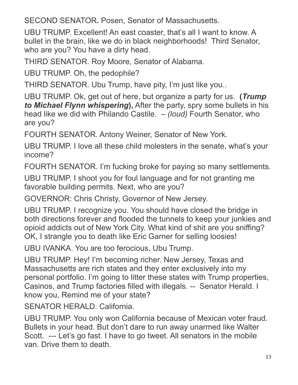SECOND SENATOR**.** Posen, Senator of Massachusetts.

UBU TRUMP. Excellent! An east coaster, that's all I want to know. A bullet in the brain, like we do in black neighborhoods! Third Senator, who are you? You have a dirty head.

THIRD SENATOR. Roy Moore, Senator of Alabama.

UBU TRUMP. Oh, the pedophile?

THIRD SENATOR. Ubu Trump, have pity, I'm just like you..

UBU TRUMP. Ok, get out of here, but organize a party for us. **(***Trump to Michael Flynn whispering***),** After the party, spry some bullets in his head like we did with Philando Castile. – *(loud)* Fourth Senator, who are you?

FOURTH SENATOR. Antony Weiner, Senator of New York.

UBU TRUMP. I love all these child molesters in the senate, what's your income?

FOURTH SENATOR. I'm fucking broke for paying so many settlements.

UBU TRUMP. I shoot you for foul language and for not granting me favorable building permits. Next, who are you?

GOVERNOR: Chris Christy, Governor of New Jersey.

UBU TRUMP. I recognize you. You should have closed the bridge in both directions forever and flooded the tunnels to keep your junkies and opioid addicts out of New York City. What kind of shit are you sniffing? OK, I strangle you to death like Eric Garner for selling loosies!

UBU IVANKA. You are too ferocious, Ubu Trump.

UBU TRUMP. Hey! I'm becoming richer. New Jersey, Texas and Massachusetts are rich states and they enter exclusively into my personal portfolio. I'm going to litter these states with Trump properties, Casinos, and Trump factories filled with illegals. -- Senator Herald. I know you, Remind me of your state?

SENATOR HERALD. California.

UBU TRUMP. You only won California because of Mexican voter fraud. Bullets in your head. But don't dare to run away unarmed like Walter Scott. --- Let's go fast. I have to go tweet. All senators in the mobile van. Drive them to death.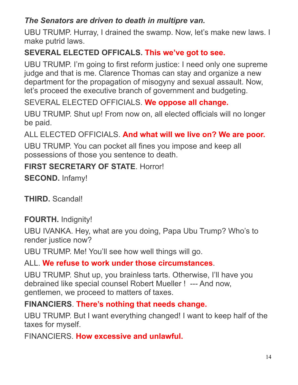## *The Senators are driven to death in multipre van.*

UBU TRUMP. Hurray, I drained the swamp. Now, let's make new laws. I make putrid laws.

## **SEVERAL ELECTED OFFICALS. This we've got to see.**

UBU TRUMP. I'm going to first reform justice: I need only one supreme judge and that is me. Clarence Thomas can stay and organize a new department for the propagation of misogyny and sexual assault. Now, let's proceed the executive branch of government and budgeting.

SEVERAL ELECTED OFFICIALS. **We oppose all change.**

UBU TRUMP. Shut up! From now on, all elected officials will no longer be paid.

ALL ELECTED OFFICIALS. **And what will we live on? We are poor.**

UBU TRUMP. You can pocket all fines you impose and keep all possessions of those you sentence to death.

## **FIRST SECRETARY OF STATE**. Horror!

**SECOND.** Infamy!

**THIRD.** Scandal!

### **FOURTH.** Indignity!

UBU IVANKA. Hey, what are you doing, Papa Ubu Trump? Who's to render justice now?

UBU TRUMP. Me! You'll see how well things will go.

### ALL. **We refuse to work under those circumstances**.

UBU TRUMP. Shut up, you brainless tarts. Otherwise, I'll have you debrained like special counsel Robert Mueller ! --- And now, gentlemen, we proceed to matters of taxes.

### **FINANCIERS**. **There's nothing that needs change.**

UBU TRUMP. But I want everything changed! I want to keep half of the taxes for myself.

FINANCIERS. **How excessive and unlawful.**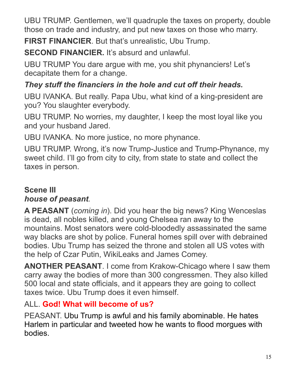UBU TRUMP. Gentlemen, we'll quadruple the taxes on property, double those on trade and industry, and put new taxes on those who marry.

**FIRST FINANCIER**. But that's unrealistic, Ubu Trump.

**SECOND FINANCIER.** It's absurd and unlawful.

UBU TRUMP You dare argue with me, you shit phynanciers! Let's decapitate them for a change.

## *They stuff the financiers in the hole and cut off their heads.*

UBU IVANKA. But really. Papa Ubu, what kind of a king-president are you? You slaughter everybody.

UBU TRUMP. No worries, my daughter, I keep the most loyal like you and your husband Jared.

UBU IVANKA. No more justice, no more phynance.

UBU TRUMP. Wrong, it's now Trump-Justice and Trump-Phynance, my sweet child. I'll go from city to city, from state to state and collect the taxes in person.

## **Scene III** *house of peasant.*

**A PEASANT** (*coming in*). Did you hear the big news? King Wenceslas is dead, all nobles killed, and young Chelsea ran away to the mountains. Most senators were cold-bloodedly assassinated the same way blacks are shot by police. Funeral homes spill over with debrained bodies. Ubu Trump has seized the throne and stolen all US votes with the help of Czar Putin, WikiLeaks and James Comey.

**ANOTHER PEASANT**. I come from Krakow-Chicago where I saw them carry away the bodies of more than 300 congressmen. They also killed 500 local and state officials, and it appears they are going to collect taxes twice. Ubu Trump does it even himself.

## ALL. **God! What will become of us?**

PEASANT. Ubu Trump is awful and his family abominable. He hates Harlem in particular and tweeted how he wants to flood morgues with bodies.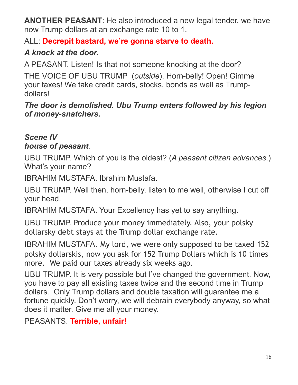**ANOTHER PEASANT**: He also introduced a new legal tender, we have now Trump dollars at an exchange rate 10 to 1.

#### ALL: **Decrepit bastard, we're gonna starve to death.**

## *A knock at the door.*

A PEASANT. Listen! Is that not someone knocking at the door?

THE VOICE OF UBU TRUMP (*outside*). Horn-belly! Open! Gimme your taxes! We take credit cards, stocks, bonds as well as Trumpdollars!

*The door is demolished. Ubu Trump enters followed by his legion of money-snatchers.*

### *Scene IV house of peasant.*

UBU TRUMP. Which of you is the oldest? (*A peasant citizen advances*.) What's your name?

IBRAHIM MUSTAFA. Ibrahim Mustafa.

UBU TRUMP. Well then, horn-belly, listen to me well, otherwise I cut off your head.

IBRAHIM MUSTAFA. Your Excellency has yet to say anything.

UBU TRUMP. Produce your money immediately. Also, your polsky dollarsky debt stays at the Trump dollar exchange rate.

IBRAHIM MUSTAFA. My lord, we were only supposed to be taxed 152 polsky dollarskis, now you ask for 152 Trump Dollars which is 10 times more. We paid our taxes already six weeks ago.

UBU TRUMP. It is very possible but I've changed the government. Now, you have to pay all existing taxes twice and the second time in Trump dollars. Only Trump dollars and double taxation will guarantee me a fortune quickly. Don't worry, we will debrain everybody anyway, so what does it matter. Give me all your money.

PEASANTS. **Terrible, unfair!**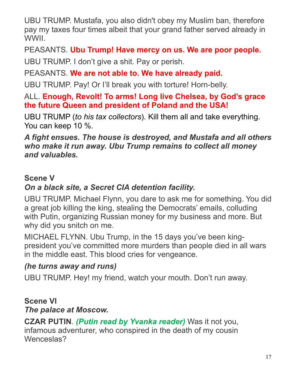UBU TRUMP. Mustafa, you also didn't obey my Muslim ban, therefore pay my taxes four times albeit that your grand father served already in WWII.

PEASANTS. **Ubu Trump! Have mercy on us. We are poor people.**

UBU TRUMP. I don't give a shit. Pay or perish.

PEASANTS. **We are not able to. We have already paid.**

UBU TRUMP. Pay! Or I'll break you with torture! Horn-belly.

ALL. **Enough, Revolt! To arms! Long live Chelsea, by God's grace the future Queen and president of Poland and the USA!**

UBU TRUMP (*to his tax collectors*). Kill them all and take everything. You can keep 10 %.

*A fight ensues. The house is destroyed, and Mustafa and all others who make it run away. Ubu Trump remains to collect all money and valuables.*

#### **Scene V**

## *On a black site, a Secret CIA detention facility.*

UBU TRUMP. Michael Flynn, you dare to ask me for something. You did a great job killing the king, stealing the Democrats' emails, colluding with Putin, organizing Russian money for my business and more. But why did you snitch on me.

MICHAEL FLYNN. Ubu Trump, in the 15 days you've been kingpresident you've committed more murders than people died in all wars in the middle east. This blood cries for vengeance.

### *(he turns away and runs)*

UBU TRUMP. Hey! my friend, watch your mouth. Don't run away.

### **Scene VI**

### *The palace at Moscow.*

**CZAR PUTIN**. *(Putin read by Yvanka reader)* Was it not you, infamous adventurer, who conspired in the death of my cousin Wenceslas?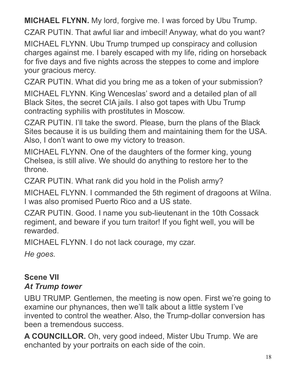**MICHAEL FLYNN.** My lord, forgive me. I was forced by Ubu Trump.

CZAR PUTIN. That awful liar and imbecil! Anyway, what do you want?

MICHAEL FLYNN. Ubu Trump trumped up conspiracy and collusion charges against me. I barely escaped with my life, riding on horseback for five days and five nights across the steppes to come and implore your gracious mercy.

CZAR PUTIN. What did you bring me as a token of your submission?

MICHAEL FLYNN. King Wenceslas' sword and a detailed plan of all Black Sites, the secret CIA jails. I also got tapes with Ubu Trump contracting syphilis with prostitutes in Moscow.

CZAR PUTIN. I'll take the sword. Please, burn the plans of the Black Sites because it is us building them and maintaining them for the USA. Also, I don't want to owe my victory to treason.

MICHAEL FLYNN. One of the daughters of the former king, young Chelsea, is still alive. We should do anything to restore her to the throne.

CZAR PUTIN. What rank did you hold in the Polish army?

MICHAEL FLYNN. I commanded the 5th regiment of dragoons at Wilna. I was also promised Puerto Rico and a US state.

CZAR PUTIN. Good. I name you sub-lieutenant in the 10th Cossack regiment, and beware if you turn traitor! If you fight well, you will be rewarded.

MICHAEL FLYNN. I do not lack courage, my czar.

*He goes.*

## **Scene VII** *At Trump tower*

UBU TRUMP. Gentlemen, the meeting is now open. First we're going to examine our phynances, then we'll talk about a little system I've invented to control the weather. Also, the Trump-dollar conversion has been a tremendous success.

**A COUNCILLOR.** Oh, very good indeed, Mister Ubu Trump. We are enchanted by your portraits on each side of the coin.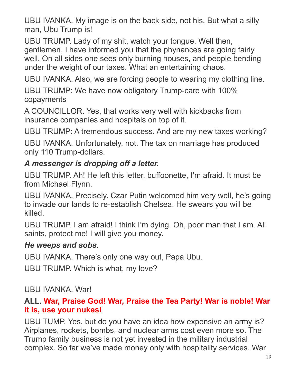UBU IVANKA. My image is on the back side, not his. But what a silly man, Ubu Trump is!

UBU TRUMP. Lady of my shit, watch your tongue. Well then, gentlemen, I have informed you that the phynances are going fairly well. On all sides one sees only burning houses, and people bending under the weight of our taxes. What an entertaining chaos.

UBU IVANKA. Also, we are forcing people to wearing my clothing line.

UBU TRUMP: We have now obligatory Trump-care with 100% copayments

A COUNCILLOR. Yes, that works very well with kickbacks from insurance companies and hospitals on top of it.

UBU TRUMP: A tremendous success. And are my new taxes working?

UBU IVANKA. Unfortunately, not. The tax on marriage has produced only 110 Trump-dollars.

#### *A messenger is dropping off a letter.*

UBU TRUMP. Ah! He left this letter, buffoonette, I'm afraid. It must be from Michael Flynn.

UBU IVANKA. Precisely. Czar Putin welcomed him very well, he's going to invade our lands to re-establish Chelsea. He swears you will be killed.

UBU TRUMP. I am afraid! I think I'm dying. Oh, poor man that I am. All saints, protect me! I will give you money.

#### *He weeps and sobs.*

UBU IVANKA. There's only one way out, Papa Ubu.

UBU TRUMP. Which is what, my love?

#### UBU IVANKA. War!

#### **ALL. War, Praise God! War, Praise the Tea Party! War is noble! War it is, use your nukes!**

UBU TUMP. Yes, but do you have an idea how expensive an army is? Airplanes, rockets, bombs, and nuclear arms cost even more so. The Trump family business is not yet invested in the military industrial complex. So far we've made money only with hospitality services. War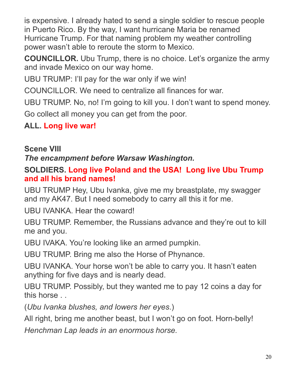is expensive. I already hated to send a single soldier to rescue people in Puerto Rico. By the way, I want hurricane Maria be renamed Hurricane Trump. For that naming problem my weather controlling power wasn't able to reroute the storm to Mexico.

**COUNCILLOR.** Ubu Trump, there is no choice. Let's organize the army and invade Mexico on our way home.

UBU TRUMP: I'll pay for the war only if we win!

COUNCILLOR. We need to centralize all finances for war.

UBU TRUMP. No, no! I'm going to kill you. I don't want to spend money. Go collect all money you can get from the poor.

### **ALL. Long live war!**

### **Scene VIII**

*The encampment before Warsaw Washington.*

#### **SOLDIERS. Long live Poland and the USA! Long live Ubu Trump and all his brand names!**

UBU TRUMP Hey, Ubu Ivanka, give me my breastplate, my swagger and my AK47. But I need somebody to carry all this it for me.

UBU IVANKA. Hear the coward!

UBU TRUMP. Remember, the Russians advance and they're out to kill me and you.

UBU IVAKA. You're looking like an armed pumpkin.

UBU TRUMP. Bring me also the Horse of Phynance.

UBU IVANKA. Your horse won't be able to carry you. It hasn't eaten anything for five days and is nearly dead.

UBU TRUMP. Possibly, but they wanted me to pay 12 coins a day for this horse . .

(*Ubu Ivanka blushes, and lowers her eyes*.)

All right, bring me another beast, but I won't go on foot. Horn-belly!

*Henchman Lap leads in an enormous horse.*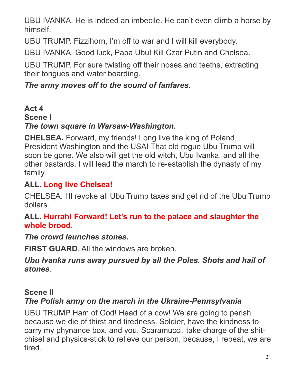UBU IVANKA. He is indeed an imbecile. He can't even climb a horse by himself.

UBU TRUMP. Fizzihorn, I'm off to war and I will kill everybody.

UBU IVANKA. Good luck, Papa Ubu! Kill Czar Putin and Chelsea.

UBU TRUMP. For sure twisting off their noses and teeths, extracting their tongues and water boarding.

### *The army moves off to the sound of fanfares.*

#### **Act 4 Scene I** *The town square in Warsaw-Washington.*

**CHELSEA.** Forward, my friends! Long live the king of Poland, President Washington and the USA! That old rogue Ubu Trump will soon be gone. We also will get the old witch, Ubu Ivanka, and all the other bastards. I will lead the march to re-establish the dynasty of my family.

## **ALL**. **Long live Chelsea!**

CHELSEA. I'll revoke all Ubu Trump taxes and get rid of the Ubu Trump dollars.

#### **ALL. Hurrah! Forward! Let's run to the palace and slaughter the whole brood**.

### *The crowd launches stones.*

**FIRST GUARD.** All the windows are broken

#### *Ubu Ivanka runs away pursued by all the Poles. Shots and hail of stones.*

### **Scene II**

## *The Polish army on the march in the Ukraine-Pennsylvania*

UBU TRUMP Ham of God! Head of a cow! We are going to perish because we die of thirst and tiredness. Soldier, have the kindness to carry my phynance box, and you, Scaramucci, take charge of the shitchisel and physics-stick to relieve our person, because, I repeat, we are tired.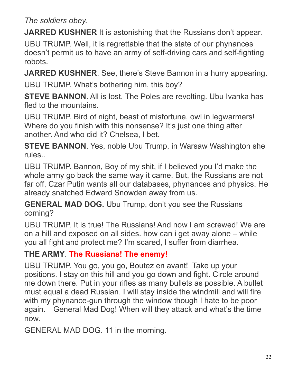### *The soldiers obey.*

**JARRED KUSHNER** It is astonishing that the Russians don't appear.

UBU TRUMP. Well, it is regrettable that the state of our phynances doesn't permit us to have an army of self-driving cars and self-fighting robots.

**JARRED KUSHNER**. See, there's Steve Bannon in a hurry appearing.

UBU TRUMP. What's bothering him, this boy?

**STEVE BANNON.** All is lost. The Poles are revolting. Ubu Ivanka has fled to the mountains.

UBU TRUMP. Bird of night, beast of misfortune, owl in legwarmers! Where do you finish with this nonsense? It's just one thing after another. And who did it? Chelsea, I bet.

**STEVE BANNON**. Yes, noble Ubu Trump, in Warsaw Washington she rules..

UBU TRUMP. Bannon, Boy of my shit, if I believed you I'd make the whole army go back the same way it came. But, the Russians are not far off, Czar Putin wants all our databases, phynances and physics. He already snatched Edward Snowden away from us.

**GENERAL MAD DOG.** Ubu Trump, don't you see the Russians coming?

UBU TRUMP. It is true! The Russians! And now I am screwed! We are on a hill and exposed on all sides. how can i get away alone – while you all fight and protect me? I'm scared, I suffer from diarrhea.

## **THE ARMY**. **The Russians! The enemy!**

UBU TRUMP. You go, you go, Boutez en avant! Take up your positions. I stay on this hill and you go down and fight. Circle around me down there. Put in your rifles as many bullets as possible. A bullet must equal a dead Russian. I will stay inside the windmill and will fire with my phynance-gun through the window though I hate to be poor again. – General Mad Dog! When will they attack and what's the time now.

GENERAL MAD DOG. 11 in the morning.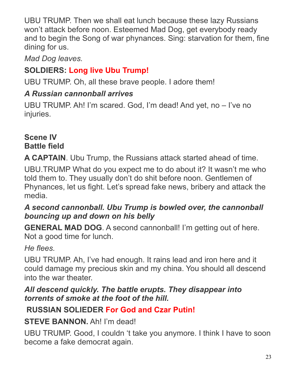UBU TRUMP. Then we shall eat lunch because these lazy Russians won't attack before noon. Esteemed Mad Dog, get everybody ready and to begin the Song of war phynances. Sing: starvation for them, fine dining for us.

*Mad Dog leaves.*

# **SOLDIERS: Long live Ubu Trump!**

UBU TRUMP. Oh, all these brave people. I adore them!

## *A Russian cannonball arrives*

UBU TRUMP. Ah! I'm scared. God, I'm dead! And yet, no – I've no injuries.

#### **Scene IV Battle field**

**A CAPTAIN**. Ubu Trump, the Russians attack started ahead of time.

UBU.TRUMP What do you expect me to do about it? It wasn't me who told them to. They usually don't do shit before noon. Gentlemen of Phynances, let us fight. Let's spread fake news, bribery and attack the media.

### *A second cannonball. Ubu Trump is bowled over, the cannonball bouncing up and down on his belly*

**GENERAL MAD DOG.** A second cannonball! I'm getting out of here. Not a good time for lunch.

## *He flees.*

UBU TRUMP. Ah, I've had enough. It rains lead and iron here and it could damage my precious skin and my china. You should all descend into the war theater.

### *All descend quickly. The battle erupts. They disappear into torrents of smoke at the foot of the hill.*

# **RUSSIAN SOLIEDER For God and Czar Putin!**

## **STEVE BANNON.** Ah! I'm dead!

UBU TRUMP. Good, I couldn 't take you anymore. I think I have to soon become a fake democrat again.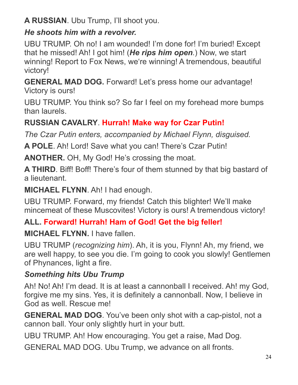**A RUSSIAN**. Ubu Trump, I'll shoot you.

## *He shoots him with a revolver.*

UBU TRUMP. Oh no! I am wounded! I'm done for! I'm buried! Except that he missed! Ah! I got him! (*He rips him open.*) Now, we start winning! Report to Fox News, we're winning! A tremendous, beautiful victory!

**GENERAL MAD DOG.** Forward! Let's press home our advantage! Victory is ours!

UBU TRUMP. You think so? So far I feel on my forehead more bumps than laurels.

# **RUSSIAN CAVALRY**. **Hurrah! Make way for Czar Putin!**

*The Czar Putin enters, accompanied by Michael Flynn, disguised.*

**A POLE**. Ah! Lord! Save what you can! There's Czar Putin!

**ANOTHER.** OH, My God! He's crossing the moat.

**A THIRD**. Biff! Boff! There's four of them stunned by that big bastard of a lieutenant.

**MICHAEL FLYNN**. Ah! I had enough.

UBU TRUMP. Forward, my friends! Catch this blighter! We'll make mincemeat of these Muscovites! Victory is ours! A tremendous victory!

# **ALL. Forward! Hurrah! Ham of God! Get the big feller!**

**MICHAEL FLYNN.** I have fallen.

UBU TRUMP (*recognizing him*). Ah, it is you, Flynn! Ah, my friend, we are well happy, to see you die. I'm going to cook you slowly! Gentlemen of Phynances, light a fire.

## *Something hits Ubu Trump*

Ah! No! Ah! I'm dead. It is at least a cannonball I received. Ah! my God, forgive me my sins. Yes, it is definitely a cannonball. Now, I believe in God as well. Rescue me!

**GENERAL MAD DOG**. You've been only shot with a cap-pistol, not a cannon ball. Your only slightly hurt in your butt.

UBU TRUMP. Ah! How encouraging. You get a raise, Mad Dog.

GENERAL MAD DOG. Ubu Trump, we advance on all fronts.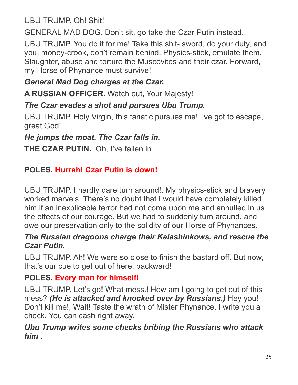UBU TRUMP. Oh! Shit!

GENERAL MAD DOG. Don't sit, go take the Czar Putin instead.

UBU TRUMP. You do it for me! Take this shit- sword, do your duty, and you, money-crook, don't remain behind. Physics-stick, emulate them. Slaughter, abuse and torture the Muscovites and their czar. Forward, my Horse of Phynance must survive!

## *General Mad Dog charges at the Czar.*

**A RUSSIAN OFFICER**. Watch out, Your Majesty!

## *The Czar evades a shot and pursues Ubu Trump.*

UBU TRUMP. Holy Virgin, this fanatic pursues me! I've got to escape, great God!

## *He jumps the moat. The Czar falls in.*

**THE CZAR PUTIN.** Oh, I've fallen in.

## **POLES. Hurrah! Czar Putin is down!**

UBU TRUMP. I hardly dare turn around!. My physics-stick and bravery worked marvels. There's no doubt that I would have completely killed him if an inexplicable terror had not come upon me and annulled in us the effects of our courage. But we had to suddenly turn around, and owe our preservation only to the solidity of our Horse of Phynances.

#### *The Russian dragoons charge their Kalashinkows, and rescue the Czar Putin.*

UBU TRUMP. Ah! We were so close to finish the bastard off. But now, that's our cue to get out of here. backward!

### **POLES. Every man for himself!**

UBU TRUMP. Let's go! What mess.! How am I going to get out of this mess? *(He is attacked and knocked over by Russians.)* Hey you! Don't kill me!, Wait! Taste the wrath of Mister Phynance. I write you a check. You can cash right away.

#### *Ubu Trump writes some checks bribing the Russians who attack him* **.**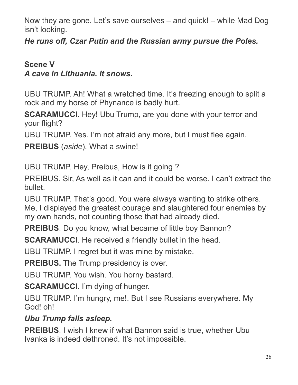Now they are gone. Let's save ourselves – and quick! – while Mad Dog isn't looking.

*He runs off, Czar Putin and the Russian army pursue the Poles.*

## **Scene V** *A cave in Lithuania. It snows.*

UBU TRUMP. Ah! What a wretched time. It's freezing enough to split a rock and my horse of Phynance is badly hurt.

**SCARAMUCCI.** Hey! Ubu Trump, are you done with your terror and your flight?

UBU TRUMP. Yes. I'm not afraid any more, but I must flee again.

**PREIBUS** (*aside*). What a swine!

UBU TRUMP. Hey, Preibus, How is it going ?

PREIBUS. Sir, As well as it can and it could be worse. I can't extract the bullet.

UBU TRUMP. That's good. You were always wanting to strike others. Me, I displayed the greatest courage and slaughtered four enemies by my own hands, not counting those that had already died.

**PREIBUS**. Do you know, what became of little boy Bannon?

**SCARAMUCCI**. He received a friendly bullet in the head.

UBU TRUMP. I regret but it was mine by mistake.

**PREIBUS.** The Trump presidency is over.

UBU TRUMP. You wish. You horny bastard.

**SCARAMUCCI.** I'm dying of hunger.

UBU TRUMP. I'm hungry, me!. But I see Russians everywhere. My God! oh!

## *Ubu Trump falls asleep.*

**PREIBUS**. I wish I knew if what Bannon said is true, whether Ubu Ivanka is indeed dethroned. It's not impossible.